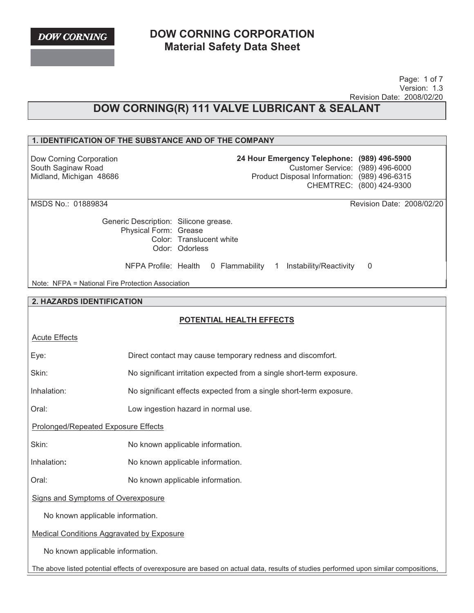**DOW CORNING** 

# **DOW CORNING CORPORATION Material Safety Data Sheet**

 Page: 1 of 7 Version: 1.3 Revision Date: 2008/02/20

# **DOW CORNING(R) 111 VALVE LUBRICANT & SEALANT**

## **1. IDENTIFICATION OF THE SUBSTANCE AND OF THE COMPANY**

Dow Corning Corporation South Saginaw Road Midland, Michigan 48686 **24 Hour Emergency Telephone: (989) 496-5900** Customer Service: (989) 496-6000 Product Disposal Information: (989) 496-6315 CHEMTREC: (800) 424-9300

MSDS No.: 01889834 Revision Date: 2008/02/20

Generic Description: Silicone grease. Physical Form: Grease Color: Translucent white Odor: Odorless

NFPA Profile: Health 0 Flammability 1 Instability/Reactivity 0

Note: NFPA = National Fire Protection Association

#### **2. HAZARDS IDENTIFICATION**

## **POTENTIAL HEALTH EFFECTS**

Direct contact may cause temporary redness and discomfort.

| <b>Acute Effects</b> |  |
|----------------------|--|
|                      |  |

Skin: No significant irritation expected from a single short-term exposure.

Inhalation: No significant effects expected from a single short-term exposure.

Oral: Low ingestion hazard in normal use.

Prolonged/Repeated Exposure Effects

Skin: No known applicable information.

Inhalation: No known applicable information.

Oral: No known applicable information.

Signs and Symptoms of Overexposure

No known applicable information.

Medical Conditions Aggravated by Exposure

No known applicable information.

The above listed potential effects of overexposure are based on actual data, results of studies performed upon similar compositions,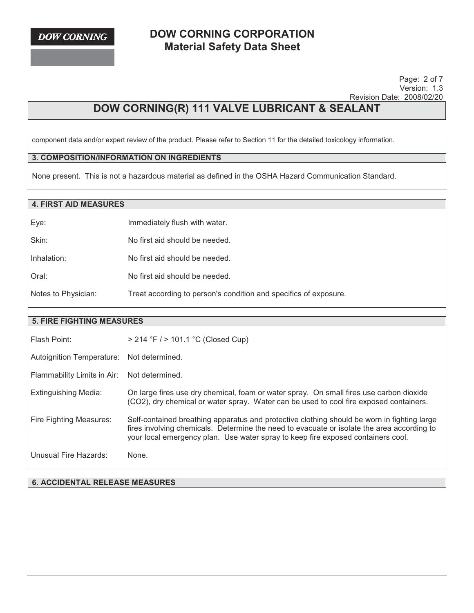Page: 2 of 7 Version: 1.3 Revision Date: 2008/02/20

# **DOW CORNING(R) 111 VALVE LUBRICANT & SEALANT**

component data and/or expert review of the product. Please refer to Section 11 for the detailed toxicology information.

## **3. COMPOSITION/INFORMATION ON INGREDIENTS**

None present. This is not a hazardous material as defined in the OSHA Hazard Communication Standard.

## **4. FIRST AID MEASURES**

| Eye:                | Immediately flush with water.                                    |
|---------------------|------------------------------------------------------------------|
| Skin:               | No first aid should be needed.                                   |
| Inhalation:         | No first aid should be needed.                                   |
| Oral:               | No first aid should be needed.                                   |
| Notes to Physician: | Treat according to person's condition and specifics of exposure. |

## **5. FIRE FIGHTING MEASURES**

| Flash Point:                              | > 214 °F / > 101.1 °C (Closed Cup)                                                                                                                                                                                                                                            |
|-------------------------------------------|-------------------------------------------------------------------------------------------------------------------------------------------------------------------------------------------------------------------------------------------------------------------------------|
| Autoignition Temperature: Not determined. |                                                                                                                                                                                                                                                                               |
| Flammability Limits in Air:               | Not determined.                                                                                                                                                                                                                                                               |
| Extinguishing Media:                      | On large fires use dry chemical, foam or water spray. On small fires use carbon dioxide<br>(CO2), dry chemical or water spray. Water can be used to cool fire exposed containers.                                                                                             |
| Fire Fighting Measures:                   | Self-contained breathing apparatus and protective clothing should be worn in fighting large<br>fires involving chemicals. Determine the need to evacuate or isolate the area according to<br>your local emergency plan. Use water spray to keep fire exposed containers cool. |
| Unusual Fire Hazards:                     | None.                                                                                                                                                                                                                                                                         |

**6. ACCIDENTAL RELEASE MEASURES**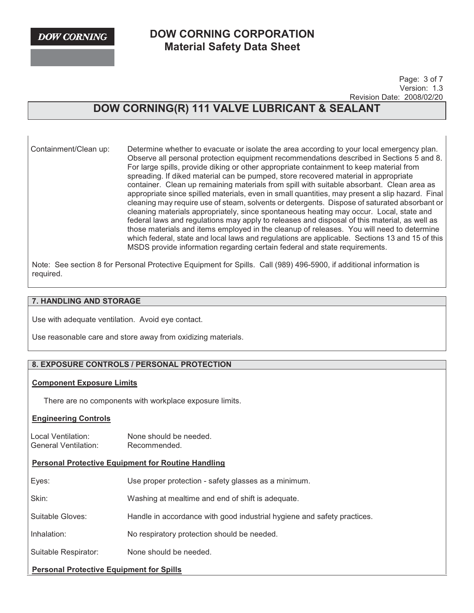**DOW CORNING** 

# **DOW CORNING CORPORATION Material Safety Data Sheet**

 Page: 3 of 7 Version: 1.3 Revision Date: 2008/02/20

# **DOW CORNING(R) 111 VALVE LUBRICANT & SEALANT**

Containment/Clean up: Determine whether to evacuate or isolate the area according to your local emergency plan. Observe all personal protection equipment recommendations described in Sections 5 and 8. For large spills, provide diking or other appropriate containment to keep material from spreading. If diked material can be pumped, store recovered material in appropriate container. Clean up remaining materials from spill with suitable absorbant. Clean area as appropriate since spilled materials, even in small quantities, may present a slip hazard. Final cleaning may require use of steam, solvents or detergents. Dispose of saturated absorbant or cleaning materials appropriately, since spontaneous heating may occur. Local, state and federal laws and regulations may apply to releases and disposal of this material, as well as those materials and items employed in the cleanup of releases. You will need to determine which federal, state and local laws and regulations are applicable. Sections 13 and 15 of this MSDS provide information regarding certain federal and state requirements.

Note: See section 8 for Personal Protective Equipment for Spills. Call (989) 496-5900, if additional information is required.

#### **7. HANDLING AND STORAGE**

Use with adequate ventilation. Avoid eye contact.

Use reasonable care and store away from oxidizing materials.

## **8. EXPOSURE CONTROLS / PERSONAL PROTECTION**

#### **Component Exposure Limits**

There are no components with workplace exposure limits.

#### **Engineering Controls**

Local Ventilation: None should be needed. General Ventilation: Recommended.

#### **Personal Protective Equipment for Routine Handling**

| Eyes:                                           | Use proper protection - safety glasses as a minimum.                    |  |
|-------------------------------------------------|-------------------------------------------------------------------------|--|
| Skin:                                           | Washing at mealtime and end of shift is adequate.                       |  |
| Suitable Gloves:                                | Handle in accordance with good industrial hygiene and safety practices. |  |
| Inhalation:                                     | No respiratory protection should be needed.                             |  |
| Suitable Respirator:                            | None should be needed.                                                  |  |
| <b>Personal Protective Equipment for Spills</b> |                                                                         |  |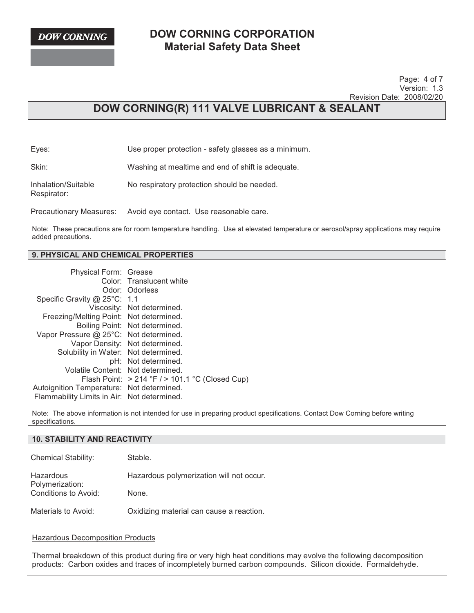**DOW CORNING** 

Respirator:

# **DOW CORNING CORPORATION Material Safety Data Sheet**

 Page: 4 of 7 Version: 1.3 Revision Date: 2008/02/20

# **DOW CORNING(R) 111 VALVE LUBRICANT & SEALANT**

Eyes: Use proper protection - safety glasses as a minimum.

Skin: Washing at mealtime and end of shift is adequate.

Inhalation/Suitable No respiratory protection should be needed.

Precautionary Measures: Avoid eye contact. Use reasonable care.

Note: These precautions are for room temperature handling. Use at elevated temperature or aerosol/spray applications may require added precautions.

## **9. PHYSICAL AND CHEMICAL PROPERTIES**

| Physical Form: Grease                       | Color: Translucent white                           |
|---------------------------------------------|----------------------------------------------------|
|                                             | Odor: Odorless                                     |
| Specific Gravity @ 25°C: 1.1                |                                                    |
|                                             | Viscosity: Not determined.                         |
| Freezing/Melting Point: Not determined.     |                                                    |
|                                             | Boiling Point: Not determined.                     |
| Vapor Pressure @ 25°C: Not determined.      |                                                    |
|                                             | Vapor Density: Not determined.                     |
| Solubility in Water: Not determined.        |                                                    |
|                                             | pH: Not determined.                                |
| Volatile Content: Not determined.           |                                                    |
|                                             | Flash Point: $>214$ °F $/$ > 101.1 °C (Closed Cup) |
| Autoignition Temperature: Not determined.   |                                                    |
| Flammability Limits in Air: Not determined. |                                                    |

Note: The above information is not intended for use in preparing product specifications. Contact Dow Corning before writing specifications.

| <b>10. STABILITY AND REACTIVITY</b>                                                                                                                                                                                             |                                          |  |
|---------------------------------------------------------------------------------------------------------------------------------------------------------------------------------------------------------------------------------|------------------------------------------|--|
| <b>Chemical Stability:</b>                                                                                                                                                                                                      | Stable.                                  |  |
| Hazardous<br>Polymerization:                                                                                                                                                                                                    | Hazardous polymerization will not occur. |  |
| Conditions to Avoid:                                                                                                                                                                                                            | None.                                    |  |
| Materials to Avoid:                                                                                                                                                                                                             | Oxidizing material can cause a reaction. |  |
| <b>Hazardous Decomposition Products</b>                                                                                                                                                                                         |                                          |  |
| Thermal breakdown of this product during fire or very high heat conditions may evolve the following decomposition<br>products: Carbon oxides and traces of incompletely burned carbon compounds. Silicon dioxide. Formaldehyde. |                                          |  |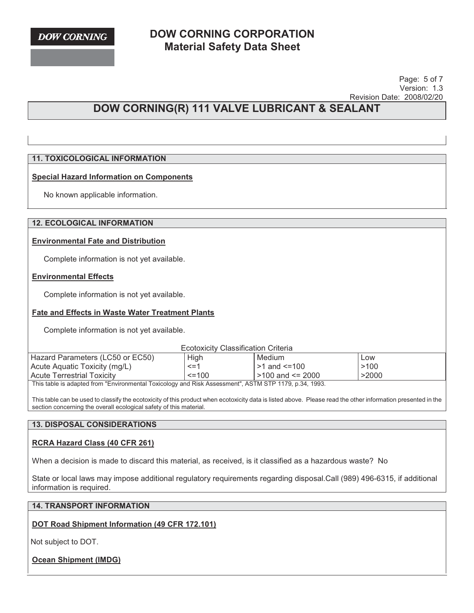Page: 5 of 7 Version: 1.3 Revision Date: 2008/02/20

# **DOW CORNING(R) 111 VALVE LUBRICANT & SEALANT**

## **11. TOXICOLOGICAL INFORMATION**

## **Special Hazard Information on Components**

No known applicable information.

#### **12. ECOLOGICAL INFORMATION**

#### **Environmental Fate and Distribution**

Complete information is not yet available.

#### **Environmental Effects**

Complete information is not yet available.

## **Fate and Effects in Waste Water Treatment Plants**

Complete information is not yet available.

Ecotoxicity Classification Criteria

| Hazard Parameters (LC50 or EC50)                                                                               | High         | Medium                 | ∟OW   |
|----------------------------------------------------------------------------------------------------------------|--------------|------------------------|-------|
| Acute Aquatic Toxicity (mg/L)                                                                                  | $\leq$ =1    | $>1$ and $\leq 100$    | >100  |
| <b>Acute Terrestrial Toxicity</b>                                                                              | $\leq$ = 100 | $>100$ and $\leq$ 2000 | >2000 |
| This table is advantable as IIF action contact Tacis class and Dial, Associated II, ACTM CTD 4470, a 94, 4009, |              |                        |       |

This table is adapted from "Environmental Toxicology and Risk Assessment", ASTM STP 1179, p.34, 1993.

This table can be used to classify the ecotoxicity of this product when ecotoxicity data is listed above. Please read the other information presented in the section concerning the overall ecological safety of this material.

#### **13. DISPOSAL CONSIDERATIONS**

## **RCRA Hazard Class (40 CFR 261)**

When a decision is made to discard this material, as received, is it classified as a hazardous waste? No

State or local laws may impose additional regulatory requirements regarding disposal.Call (989) 496-6315, if additional information is required.

#### **14. TRANSPORT INFORMATION**

## **DOT Road Shipment Information (49 CFR 172.101)**

Not subject to DOT.

**Ocean Shipment (IMDG)**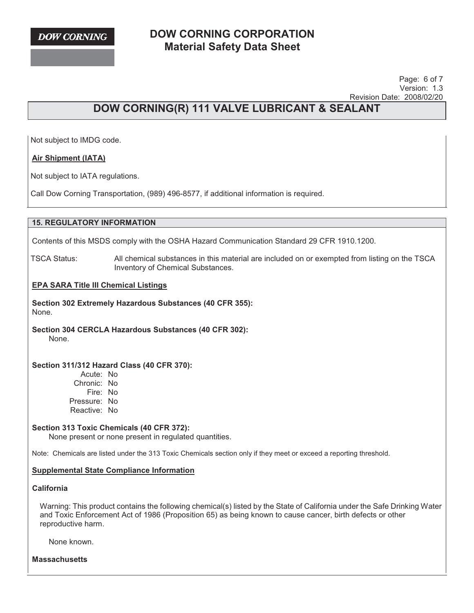

 Page: 6 of 7 Version: 1.3 Revision Date: 2008/02/20

# **DOW CORNING(R) 111 VALVE LUBRICANT & SEALANT**

Not subject to IMDG code.

## **Air Shipment (IATA)**

Not subject to IATA regulations.

Call Dow Corning Transportation, (989) 496-8577, if additional information is required.

Contents of this MSDS comply with the OSHA Hazard Communication Standard 29 CFR 1910.1200.

TSCA Status: All chemical substances in this material are included on or exempted from listing on the TSCA Inventory of Chemical Substances.

**EPA SARA Title III Chemical Listings**

**Section 302 Extremely Hazardous Substances (40 CFR 355):**  None.

**Section 304 CERCLA Hazardous Substances (40 CFR 302):**  None.

## **Section 311/312 Hazard Class (40 CFR 370):**

Acute: No Chronic: No Fire: No Pressure: No Reactive: No

#### **Section 313 Toxic Chemicals (40 CFR 372):**

None present or none present in regulated quantities.

Note: Chemicals are listed under the 313 Toxic Chemicals section only if they meet or exceed a reporting threshold.

#### **Supplemental State Compliance Information**

**California** 

Warning: This product contains the following chemical(s) listed by the State of California under the Safe Drinking Water and Toxic Enforcement Act of 1986 (Proposition 65) as being known to cause cancer, birth defects or other reproductive harm.

None known.

**Massachusetts**